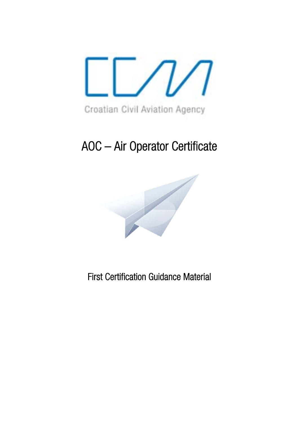

# AOC – Air Operator Certificate



First Certification Guidance Material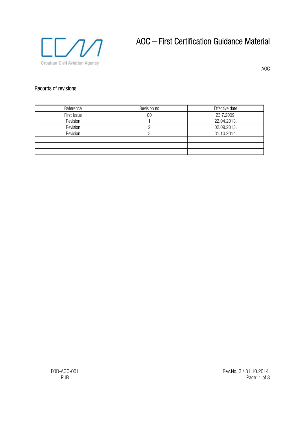

## AOC – First Certification Guidance Material

AOC

#### Records of revisions

| Reference   | Revision no | Effective date |
|-------------|-------------|----------------|
| First issue | 00          | 23.7.2009.     |
| Revision    |             | 22.04.2013.    |
| Revision    |             | 02.09.2013.    |
| Revision    |             | 31.10.2014.    |
|             |             |                |
|             |             |                |
|             |             |                |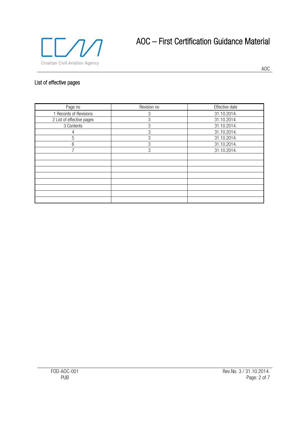

## AOC – First Certification Guidance Material

AOC

### List of effective pages

| Page no                   | Revision no | Effective date |
|---------------------------|-------------|----------------|
| 1 Records of Revisions    | 3           | 31.10.2014.    |
| 2 List of effective pages | 3           | 31.10.2014.    |
| 3 Contents                | 3           | 31.10.2014.    |
| 4                         | 3           | 31.10.2014.    |
| 5                         | 3           | 31.10.2014.    |
| 6                         | 3           | 31.10.2014.    |
| $\overline{ }$            | 3           | 31.10.2014.    |
|                           |             |                |
|                           |             |                |
|                           |             |                |
|                           |             |                |
|                           |             |                |
|                           |             |                |
|                           |             |                |
|                           |             |                |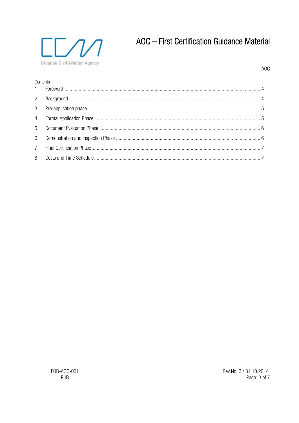

## AOC - First Certification Guidance Material

#### **AOC**

| Contents       |  |  |  |  |
|----------------|--|--|--|--|
|                |  |  |  |  |
| $2^{\circ}$    |  |  |  |  |
| 3 <sup>7</sup> |  |  |  |  |
|                |  |  |  |  |
|                |  |  |  |  |
| 6              |  |  |  |  |
| $7\phantom{0}$ |  |  |  |  |
| 8              |  |  |  |  |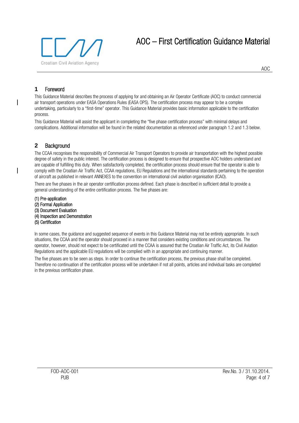

#### **1** Foreword

This Guidance Material describes the process of applying for and obtaining an Air Operator Certificate (AOC) to conduct commercial air transport operations under EASA Operations Rules (EASA OPS). The certification process may appear to be a complex undertaking, particularly to a "first-time" operator. This Guidance Material provides basic information applicable to the certification process.

This Guidance Material will assist the applicant in completing the "five phase certification process" with minimal delays and complications. Additional information will be found in the related documentation as referenced under paragraph 1.2 and 1.3 below.

#### **2** Background

The CCAA recognises the responsibility of Commercial Air Transport Operators to provide air transportation with the highest possible degree of safety in the public interest. The certification process is designed to ensure that prospective AOC holders understand and are capable of fulfilling this duty. When satisfactorily completed, the certification process should ensure that the operator is able to comply with the Croatian Air Traffic Act, CCAA regulations, EU Regulations and the international standards pertaining to the operation of aircraft as published in relevant ANNEXES to the convention on international civil aviation organisation (ICAO).

There are five phases in the air operator certification process defined. Each phase is described in sufficient detail to provide a general understanding of the entire certification process. The five phases are:

(1) Pre-application (2) Formal Application (3) Document Evaluation (4) Inspection and Demonstration (5) Certification

In some cases, the guidance and suggested sequence of events in this Guidance Material may not be entirely appropriate. In such situations, the CCAA and the operator should proceed in a manner that considers existing conditions and circumstances. The operator, however, should not expect to be certificated until the CCAA is assured that the Croatian Air Traffic Act, its Civil Aviation Regulations and the applicable EU regulations will be complied with in an appropriate and continuing manner.

The five phases are to be seen as steps. In order to continue the certification process, the previous phase shall be completed. Therefore no continuation of the certification process will be undertaken if not all points, articles and individual tasks are completed in the previous certification phase.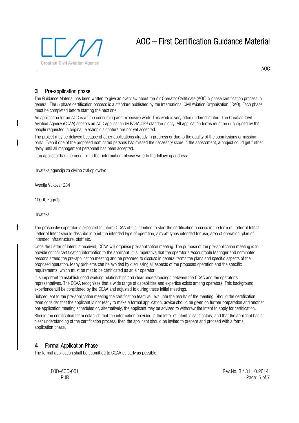

AOC

#### **3** Pre-application phase

The Guidance Material has been written to give an overview about the Air Operator Certificate (AOC) 5 phase certification process in general. The 5 phase certification process is a standard published by the International Civil Aviation Organisation (ICAO). Each phase must be completed before starting the next one.

An application for an AOC is a time consuming and expensive work. This work is very often underestimated. The Croatian Civil Aviation Agency (CCAA) accepts an AOC application by EASA OPS standards only. All application forms must be duly signed by the people requested in original, electronic signature are not yet accepted.

The project may be delayed because of other applications already in progress or due to the quality of the submissions or missing parts. Even if one of the proposed nominated persons has missed the necessary score in the assessment, a project could get further delay until all management personnel has been accepted.

If an applicant has the need for further information, please write to the following address:

Hrvatska agencija za civilno zrakoplovstvo

Avenija Vukovar 284

10000 Zagreb

Hrvatska

The prospective operator is expected to inform CCAA of his intention to start the certification process in the form of Letter of Intent. Letter of Intent should describe in brief the intended type of operation, aircraft types intended for use, area of operation, plan of intended infrastructure, staff etc.

Once the Letter of Intent is received, CCAA will organise pre-application meeting. The purpose of the pre-application meeting is to provide critical certification information to the applicant. It is imperative that the operator's Accountable Manager and nominated persons attend the pre-application meeting and be prepared to discuss in general terms the plans and specific aspects of the proposed operation. Many problems can be avoided by discussing all aspects of the proposed operation and the specific requirements, which must be met to be certificated as an air operator.

It is important to establish good working relationships and clear understandings between the CCAA and the operator's representatives. The CCAA recognises that a wide range of capabilities and expertise exists among operators. This background experience will be considered by the CCAA and adjusted to during these initial meetings.

Subsequent to the pre-application meeting the certification team will evaluate the results of the meeting. Should the certification team consider that the applicant is not ready to make a formal application, advice should be given on further preparation and another pre-application meeting scheduled or, alternatively, the applicant may be advised to withdraw the intent to apply for certification.

Should the certification team establish that the information provided in the letter of intent is satisfactory, and that the applicant has a clear understanding of the certification process, then the applicant should be invited to prepare and proceed with a formal application phase.

#### **4** Formal Application Phase

The formal application shall be submitted to CCAA as early as possible.

FOD-AOC-001 Rev.No. 3 / 31.10.2014. PUB PORT CONTROL PROPERTY IN THE PAGE OF THE PAGE OF THE PAGE OF THE PAGE OF THE PAGE OF THE PAGE OF THE PAGE OF THE PAGE OF THE PAGE OF THE PAGE OF THE PAGE OF THE PAGE OF THE PAGE OF THE PAGE OF THE PAGE OF THE PAGE OF T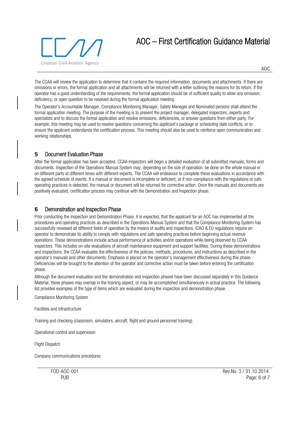### AOC – First Certification Guidance Material



AOC

The CCAA will review the application to determine that it contains the required information, documents and attachments. If there are omissions or errors, the formal application and all attachments will be returned with a letter outlining the reasons for its return. If the operator has a good understanding of the requirements, the formal application should be of sufficient quality to allow any omission, deficiency, or open question to be resolved during the formal application meeting.

The Operator's Accountable Manager, Compliance Monitoring Manager, Safety Manager and Nominated persons shall attend the formal application meeting. The purpose of the meeting is to present the project manager, delegated inspectors, experts and specialists and to discuss the formal application and resolve omissions, deficiencies, or answer questions from either party. For example, this meeting may be used to resolve questions concerning the applicant's package or scheduling date conflicts, or to ensure the applicant understands the certification process. This meeting should also be used to reinforce open communication and working relationships.

#### **5** Document Evaluation Phase

After the formal application has been accepted, CCAA inspectors will begin a detailed evaluation of all submitted manuals, forms and documents. Inspection of the Operations Manual System may, depending on the size of operation, be done on the whole manual or on different parts at different times with different experts. The CCAA will endeavour to complete these evaluations in accordance with the agreed schedule of events. If a manual or document is incomplete or deficient, or if non-compliance with the regulations or safe operating practices is detected, the manual or document will be returned for corrective action. Once the manuals and documents are positively evaluated, certification process may continue with the Demonstration and Inspection phase.

#### **6** Demonstration and Inspection Phase

Prior conducting the Inspection and Demonstration Phase, it is expected, that the applicant for an AOC has implemented all the procedures and operating practices as described in the Operations Manual System and that the Compliance Monitoring System has successfully reviewed all different fields of operation by the means of audits and inspections. ICAO & EU regulations require an operator to demonstrate its ability to comply with regulations and safe operating practices before beginning actual revenue operations. These demonstrations include actual performance of activities and/or operations while being observed by CCAA inspectors. This includes on-site evaluations of aircraft maintenance equipment and support facilities. During these demonstrations and inspections, the CCAA evaluates the effectiveness of the policies, methods, procedures, and instructions as described in the operator's manuals and other documents. Emphasis is placed on the operator's management effectiveness during this phase. Deficiencies will be brought to the attention of the operator and corrective action must be taken before entering the certification phase.

Although the document evaluation and the demonstration and inspection phases have been discussed separately in this Guidance Material, these phases may overlap in the training aspect, or may be accomplished simultaneously in actual practice. The following list provides examples of the type of items which are evaluated during the inspection and demonstration phase.

Compliance Monitoring System

Facilities and Infrastructure

Training and checking (classroom, simulators, aircraft, flight and ground personnel training).

Operational control and supervision

Flight Dispatch

Company communications procedures

FOD-AOC-001 Rev.No. 3 / 31.10.2014. PUB Page: 6 of 7